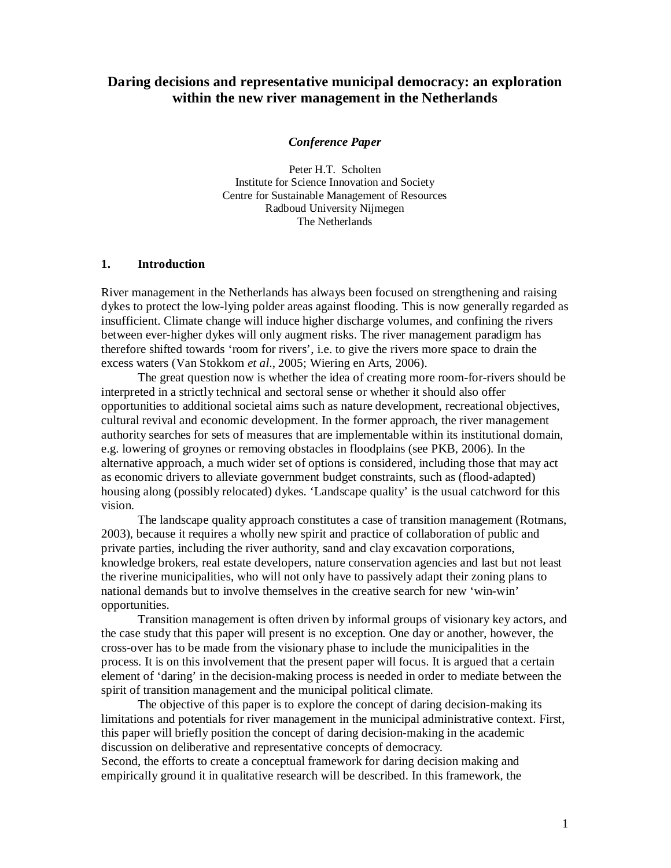# **Daring decisions and representative municipal democracy: an exploration within the new river management in the Netherlands**

*Conference Paper* 

Peter H.T. Scholten Institute for Science Innovation and Society Centre for Sustainable Management of Resources Radboud University Nijmegen The Netherlands

#### **1. Introduction**

River management in the Netherlands has always been focused on strengthening and raising dykes to protect the low-lying polder areas against flooding. This is now generally regarded as insufficient. Climate change will induce higher discharge volumes, and confining the rivers between ever-higher dykes will only augment risks. The river management paradigm has therefore shifted towards 'room for rivers', i.e. to give the rivers more space to drain the excess waters (Van Stokkom *et al*., 2005; Wiering en Arts, 2006).

The great question now is whether the idea of creating more room-for-rivers should be interpreted in a strictly technical and sectoral sense or whether it should also offer opportunities to additional societal aims such as nature development, recreational objectives, cultural revival and economic development. In the former approach, the river management authority searches for sets of measures that are implementable within its institutional domain, e.g. lowering of groynes or removing obstacles in floodplains (see PKB, 2006). In the alternative approach, a much wider set of options is considered, including those that may act as economic drivers to alleviate government budget constraints, such as (flood-adapted) housing along (possibly relocated) dykes. 'Landscape quality' is the usual catchword for this vision.

The landscape quality approach constitutes a case of transition management (Rotmans, 2003), because it requires a wholly new spirit and practice of collaboration of public and private parties, including the river authority, sand and clay excavation corporations, knowledge brokers, real estate developers, nature conservation agencies and last but not least the riverine municipalities, who will not only have to passively adapt their zoning plans to national demands but to involve themselves in the creative search for new 'win-win' opportunities.

Transition management is often driven by informal groups of visionary key actors, and the case study that this paper will present is no exception. One day or another, however, the cross-over has to be made from the visionary phase to include the municipalities in the process. It is on this involvement that the present paper will focus. It is argued that a certain element of 'daring' in the decision-making process is needed in order to mediate between the spirit of transition management and the municipal political climate.

The objective of this paper is to explore the concept of daring decision-making its limitations and potentials for river management in the municipal administrative context. First, this paper will briefly position the concept of daring decision-making in the academic discussion on deliberative and representative concepts of democracy.

Second, the efforts to create a conceptual framework for daring decision making and empirically ground it in qualitative research will be described. In this framework, the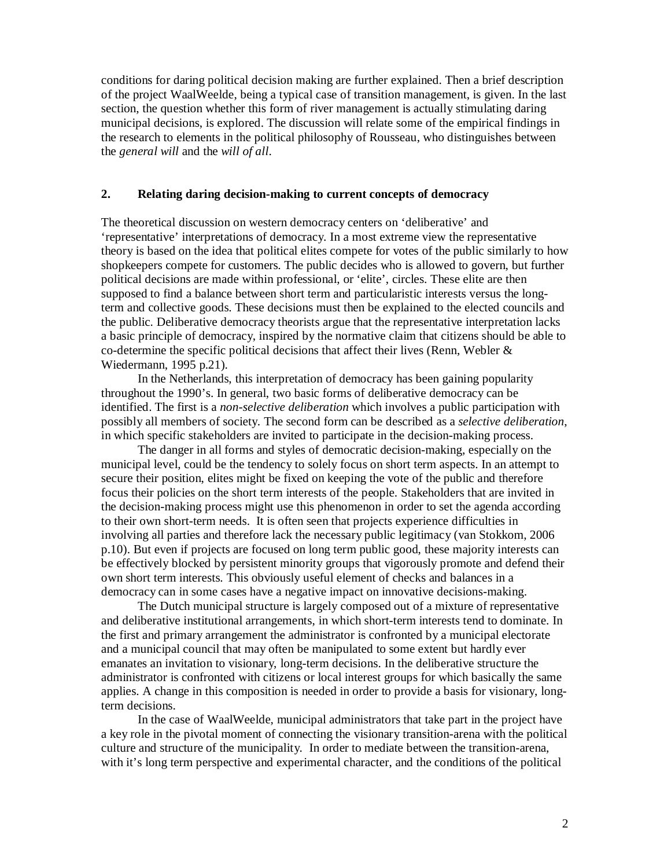conditions for daring political decision making are further explained. Then a brief description of the project WaalWeelde, being a typical case of transition management, is given. In the last section, the question whether this form of river management is actually stimulating daring municipal decisions, is explored. The discussion will relate some of the empirical findings in the research to elements in the political philosophy of Rousseau, who distinguishes between the *general will* and the *will of all*.

## **2. Relating daring decision-making to current concepts of democracy**

The theoretical discussion on western democracy centers on 'deliberative' and 'representative' interpretations of democracy. In a most extreme view the representative theory is based on the idea that political elites compete for votes of the public similarly to how shopkeepers compete for customers. The public decides who is allowed to govern, but further political decisions are made within professional, or 'elite', circles. These elite are then supposed to find a balance between short term and particularistic interests versus the longterm and collective goods. These decisions must then be explained to the elected councils and the public. Deliberative democracy theorists argue that the representative interpretation lacks a basic principle of democracy, inspired by the normative claim that citizens should be able to co-determine the specific political decisions that affect their lives (Renn, Webler  $\&$ Wiedermann, 1995 p.21).

In the Netherlands, this interpretation of democracy has been gaining popularity throughout the 1990's. In general, two basic forms of deliberative democracy can be identified. The first is a *non-selective deliberation* which involves a public participation with possibly all members of society. The second form can be described as a *selective deliberation*, in which specific stakeholders are invited to participate in the decision-making process.

The danger in all forms and styles of democratic decision-making, especially on the municipal level, could be the tendency to solely focus on short term aspects. In an attempt to secure their position, elites might be fixed on keeping the vote of the public and therefore focus their policies on the short term interests of the people. Stakeholders that are invited in the decision-making process might use this phenomenon in order to set the agenda according to their own short-term needs. It is often seen that projects experience difficulties in involving all parties and therefore lack the necessary public legitimacy (van Stokkom, 2006 p.10). But even if projects are focused on long term public good, these majority interests can be effectively blocked by persistent minority groups that vigorously promote and defend their own short term interests. This obviously useful element of checks and balances in a democracy can in some cases have a negative impact on innovative decisions-making.

The Dutch municipal structure is largely composed out of a mixture of representative and deliberative institutional arrangements, in which short-term interests tend to dominate. In the first and primary arrangement the administrator is confronted by a municipal electorate and a municipal council that may often be manipulated to some extent but hardly ever emanates an invitation to visionary, long-term decisions. In the deliberative structure the administrator is confronted with citizens or local interest groups for which basically the same applies. A change in this composition is needed in order to provide a basis for visionary, longterm decisions.

In the case of WaalWeelde, municipal administrators that take part in the project have a key role in the pivotal moment of connecting the visionary transition-arena with the political culture and structure of the municipality. In order to mediate between the transition-arena, with it's long term perspective and experimental character, and the conditions of the political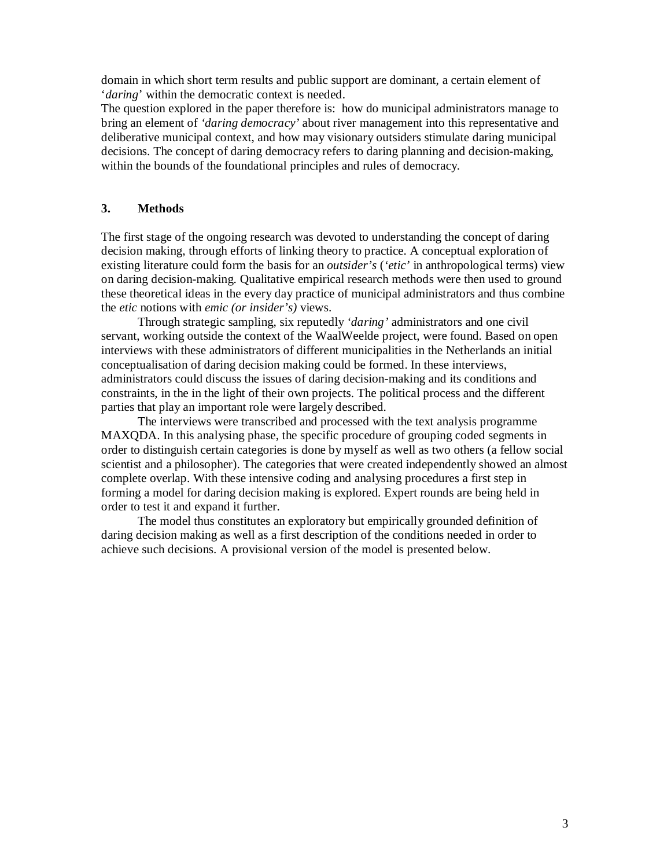domain in which short term results and public support are dominant, a certain element of '*daring*' within the democratic context is needed.

The question explored in the paper therefore is: how do municipal administrators manage to bring an element of *'daring democracy'* about river management into this representative and deliberative municipal context, and how may visionary outsiders stimulate daring municipal decisions. The concept of daring democracy refers to daring planning and decision-making, within the bounds of the foundational principles and rules of democracy.

### **3. Methods**

The first stage of the ongoing research was devoted to understanding the concept of daring decision making, through efforts of linking theory to practice. A conceptual exploration of existing literature could form the basis for an *outsider's* (*'etic'* in anthropological terms) view on daring decision-making. Qualitative empirical research methods were then used to ground these theoretical ideas in the every day practice of municipal administrators and thus combine the *etic* notions with *emic (or insider's)* views.

Through strategic sampling, six reputedly *'daring'* administrators and one civil servant, working outside the context of the WaalWeelde project, were found. Based on open interviews with these administrators of different municipalities in the Netherlands an initial conceptualisation of daring decision making could be formed. In these interviews, administrators could discuss the issues of daring decision-making and its conditions and constraints, in the in the light of their own projects. The political process and the different parties that play an important role were largely described.

The interviews were transcribed and processed with the text analysis programme MAXQDA. In this analysing phase, the specific procedure of grouping coded segments in order to distinguish certain categories is done by myself as well as two others (a fellow social scientist and a philosopher). The categories that were created independently showed an almost complete overlap. With these intensive coding and analysing procedures a first step in forming a model for daring decision making is explored. Expert rounds are being held in order to test it and expand it further.

The model thus constitutes an exploratory but empirically grounded definition of daring decision making as well as a first description of the conditions needed in order to achieve such decisions. A provisional version of the model is presented below.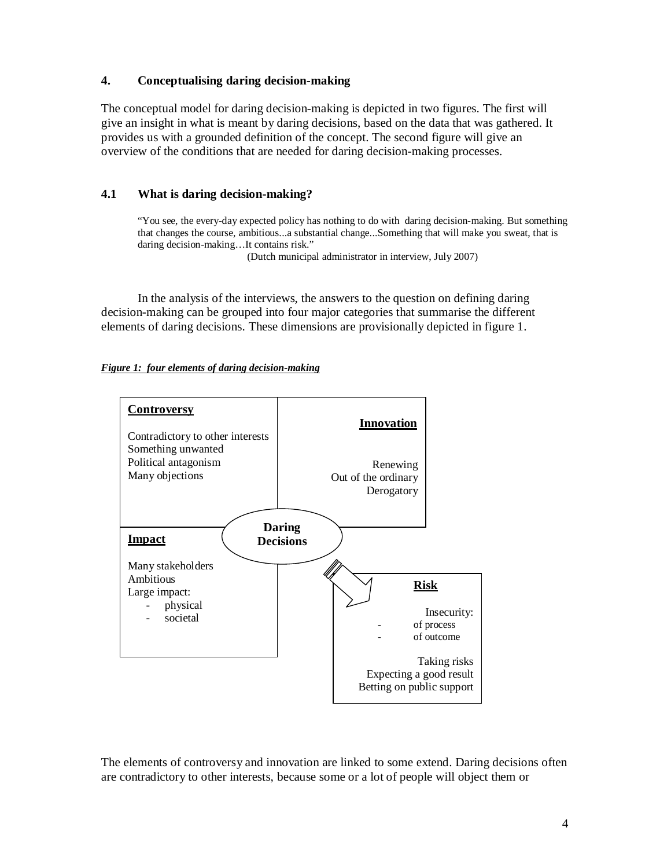# **4. Conceptualising daring decision-making**

The conceptual model for daring decision-making is depicted in two figures. The first will give an insight in what is meant by daring decisions, based on the data that was gathered. It provides us with a grounded definition of the concept. The second figure will give an overview of the conditions that are needed for daring decision-making processes.

# **4.1 What is daring decision-making?**

"You see, the every-day expected policy has nothing to do with daring decision-making. But something that changes the course, ambitious...a substantial change...Something that will make you sweat, that is daring decision-making…It contains risk."

(Dutch municipal administrator in interview, July 2007)

In the analysis of the interviews, the answers to the question on defining daring decision-making can be grouped into four major categories that summarise the different elements of daring decisions. These dimensions are provisionally depicted in figure 1.





The elements of controversy and innovation are linked to some extend. Daring decisions often are contradictory to other interests, because some or a lot of people will object them or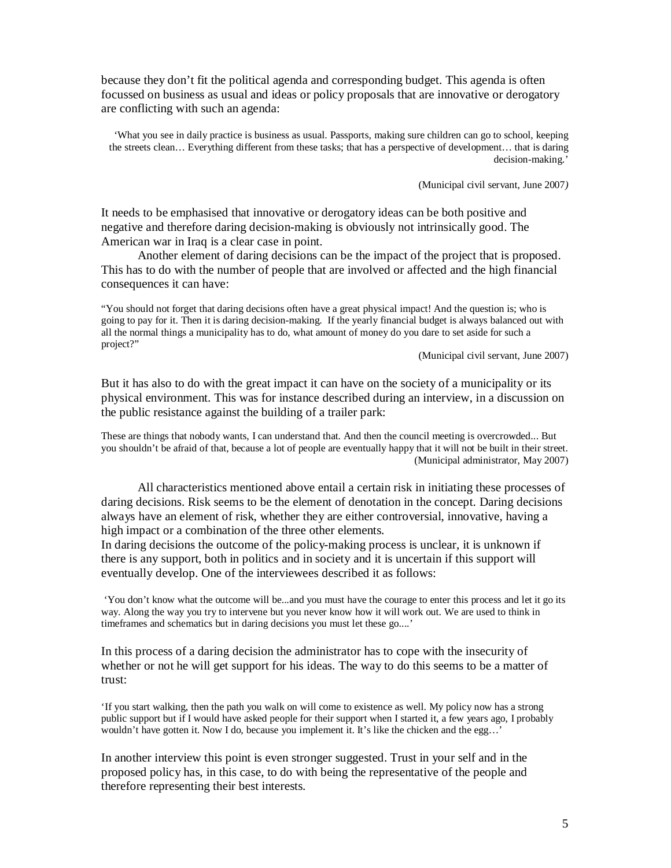because they don't fit the political agenda and corresponding budget. This agenda is often focussed on business as usual and ideas or policy proposals that are innovative or derogatory are conflicting with such an agenda:

'What you see in daily practice is business as usual. Passports, making sure children can go to school, keeping the streets clean… Everything different from these tasks; that has a perspective of development… that is daring decision-making.'

(Municipal civil servant, June 2007*)* 

It needs to be emphasised that innovative or derogatory ideas can be both positive and negative and therefore daring decision-making is obviously not intrinsically good. The American war in Iraq is a clear case in point.

Another element of daring decisions can be the impact of the project that is proposed. This has to do with the number of people that are involved or affected and the high financial consequences it can have:

"You should not forget that daring decisions often have a great physical impact! And the question is; who is going to pay for it. Then it is daring decision-making. If the yearly financial budget is always balanced out with all the normal things a municipality has to do, what amount of money do you dare to set aside for such a project?"

(Municipal civil servant, June 2007)

But it has also to do with the great impact it can have on the society of a municipality or its physical environment. This was for instance described during an interview, in a discussion on the public resistance against the building of a trailer park:

These are things that nobody wants, I can understand that. And then the council meeting is overcrowded... But you shouldn't be afraid of that, because a lot of people are eventually happy that it will not be built in their street. (Municipal administrator, May 2007)

All characteristics mentioned above entail a certain risk in initiating these processes of daring decisions. Risk seems to be the element of denotation in the concept. Daring decisions always have an element of risk, whether they are either controversial, innovative, having a high impact or a combination of the three other elements.

In daring decisions the outcome of the policy-making process is unclear, it is unknown if there is any support, both in politics and in society and it is uncertain if this support will eventually develop. One of the interviewees described it as follows:

 'You don't know what the outcome will be...and you must have the courage to enter this process and let it go its way. Along the way you try to intervene but you never know how it will work out. We are used to think in timeframes and schematics but in daring decisions you must let these go....'

In this process of a daring decision the administrator has to cope with the insecurity of whether or not he will get support for his ideas. The way to do this seems to be a matter of trust:

'If you start walking, then the path you walk on will come to existence as well. My policy now has a strong public support but if I would have asked people for their support when I started it, a few years ago, I probably wouldn't have gotten it. Now I do, because you implement it. It's like the chicken and the egg…'

In another interview this point is even stronger suggested. Trust in your self and in the proposed policy has, in this case, to do with being the representative of the people and therefore representing their best interests.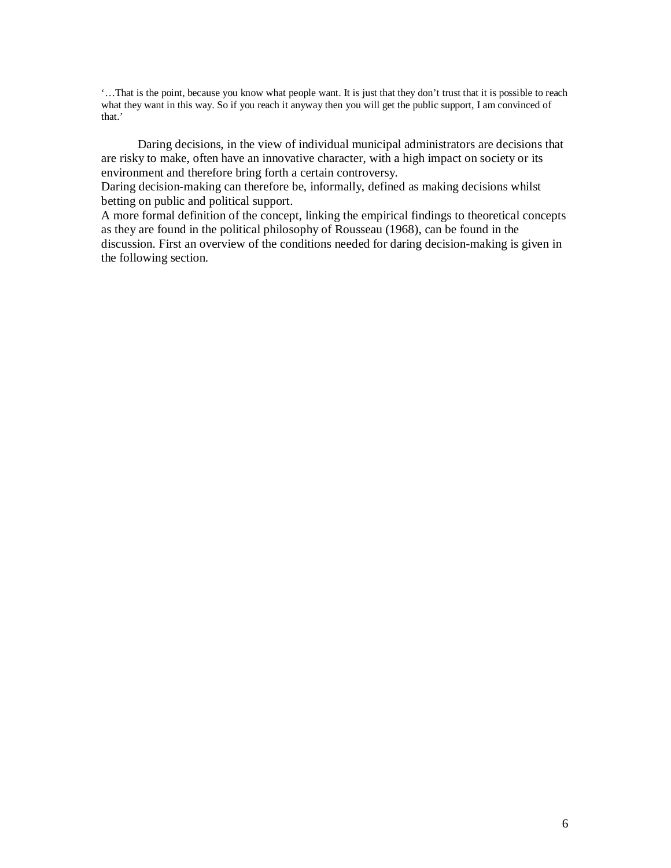'…That is the point, because you know what people want. It is just that they don't trust that it is possible to reach what they want in this way. So if you reach it anyway then you will get the public support, I am convinced of that.'

Daring decisions, in the view of individual municipal administrators are decisions that are risky to make, often have an innovative character, with a high impact on society or its environment and therefore bring forth a certain controversy.

Daring decision-making can therefore be, informally, defined as making decisions whilst betting on public and political support.

A more formal definition of the concept, linking the empirical findings to theoretical concepts as they are found in the political philosophy of Rousseau (1968), can be found in the discussion. First an overview of the conditions needed for daring decision-making is given in the following section.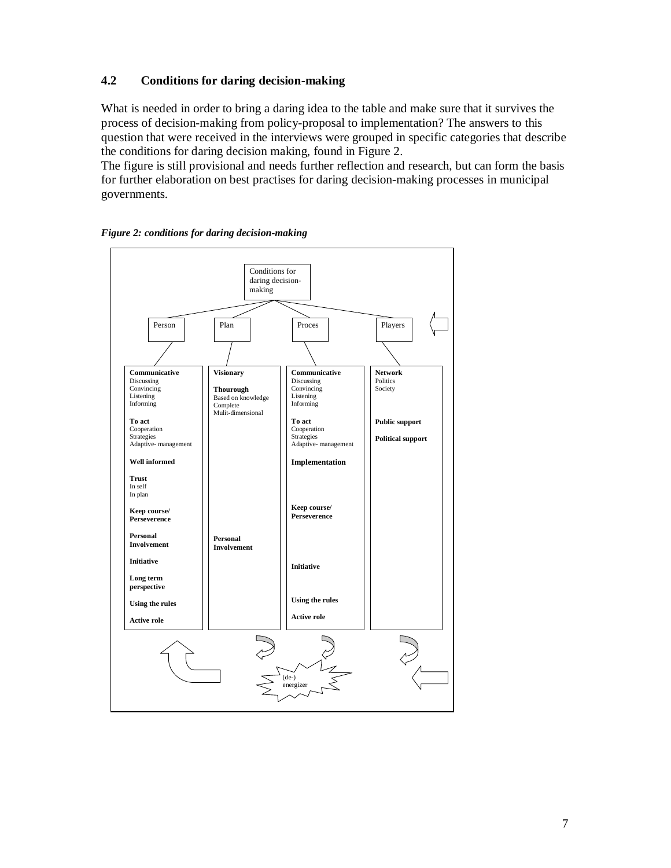# **4.2 Conditions for daring decision-making**

What is needed in order to bring a daring idea to the table and make sure that it survives the process of decision-making from policy-proposal to implementation? The answers to this question that were received in the interviews were grouped in specific categories that describe the conditions for daring decision making, found in Figure 2.

The figure is still provisional and needs further reflection and research, but can form the basis for further elaboration on best practises for daring decision-making processes in municipal governments.



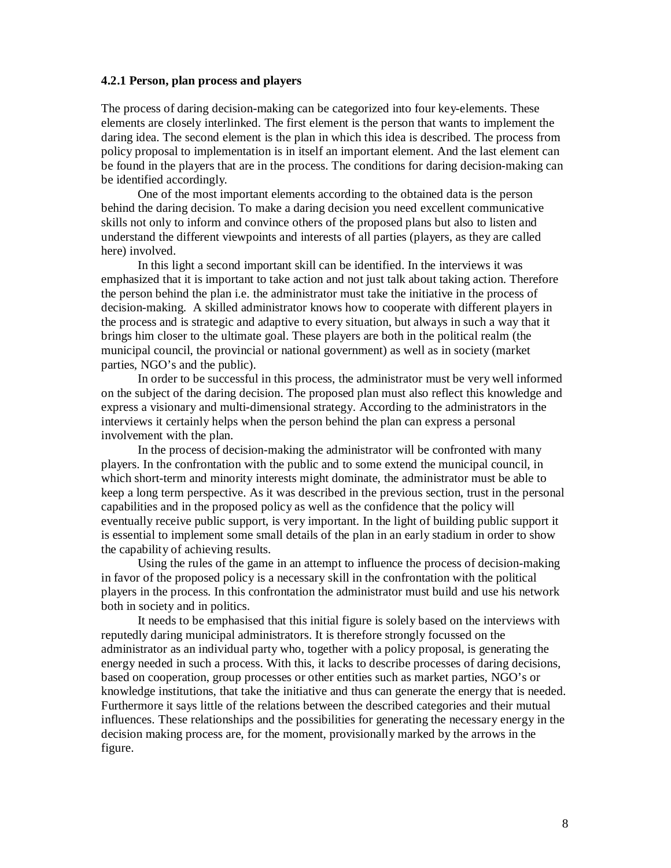#### **4.2.1 Person, plan process and players**

The process of daring decision-making can be categorized into four key-elements. These elements are closely interlinked. The first element is the person that wants to implement the daring idea. The second element is the plan in which this idea is described. The process from policy proposal to implementation is in itself an important element. And the last element can be found in the players that are in the process. The conditions for daring decision-making can be identified accordingly.

One of the most important elements according to the obtained data is the person behind the daring decision. To make a daring decision you need excellent communicative skills not only to inform and convince others of the proposed plans but also to listen and understand the different viewpoints and interests of all parties (players, as they are called here) involved.

In this light a second important skill can be identified. In the interviews it was emphasized that it is important to take action and not just talk about taking action. Therefore the person behind the plan i.e. the administrator must take the initiative in the process of decision-making. A skilled administrator knows how to cooperate with different players in the process and is strategic and adaptive to every situation, but always in such a way that it brings him closer to the ultimate goal. These players are both in the political realm (the municipal council, the provincial or national government) as well as in society (market parties, NGO's and the public).

In order to be successful in this process, the administrator must be very well informed on the subject of the daring decision. The proposed plan must also reflect this knowledge and express a visionary and multi-dimensional strategy. According to the administrators in the interviews it certainly helps when the person behind the plan can express a personal involvement with the plan.

In the process of decision-making the administrator will be confronted with many players. In the confrontation with the public and to some extend the municipal council, in which short-term and minority interests might dominate, the administrator must be able to keep a long term perspective. As it was described in the previous section, trust in the personal capabilities and in the proposed policy as well as the confidence that the policy will eventually receive public support, is very important. In the light of building public support it is essential to implement some small details of the plan in an early stadium in order to show the capability of achieving results.

Using the rules of the game in an attempt to influence the process of decision-making in favor of the proposed policy is a necessary skill in the confrontation with the political players in the process. In this confrontation the administrator must build and use his network both in society and in politics.

It needs to be emphasised that this initial figure is solely based on the interviews with reputedly daring municipal administrators. It is therefore strongly focussed on the administrator as an individual party who, together with a policy proposal, is generating the energy needed in such a process. With this, it lacks to describe processes of daring decisions, based on cooperation, group processes or other entities such as market parties, NGO's or knowledge institutions, that take the initiative and thus can generate the energy that is needed. Furthermore it says little of the relations between the described categories and their mutual influences. These relationships and the possibilities for generating the necessary energy in the decision making process are, for the moment, provisionally marked by the arrows in the figure.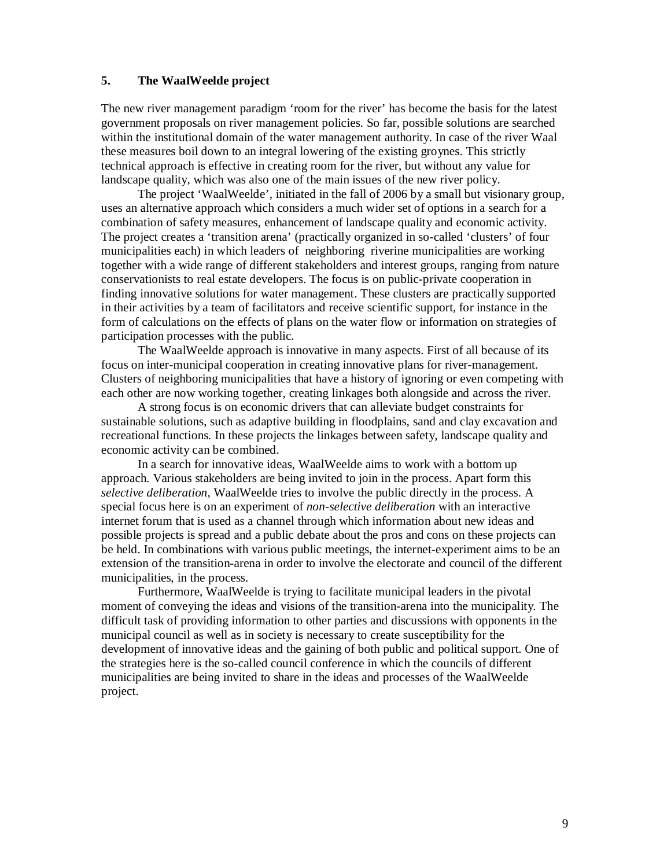# **5. The WaalWeelde project**

The new river management paradigm 'room for the river' has become the basis for the latest government proposals on river management policies. So far, possible solutions are searched within the institutional domain of the water management authority. In case of the river Waal these measures boil down to an integral lowering of the existing groynes. This strictly technical approach is effective in creating room for the river, but without any value for landscape quality, which was also one of the main issues of the new river policy.

The project 'WaalWeelde', initiated in the fall of 2006 by a small but visionary group, uses an alternative approach which considers a much wider set of options in a search for a combination of safety measures, enhancement of landscape quality and economic activity. The project creates a 'transition arena' (practically organized in so-called 'clusters' of four municipalities each) in which leaders of neighboring riverine municipalities are working together with a wide range of different stakeholders and interest groups, ranging from nature conservationists to real estate developers. The focus is on public-private cooperation in finding innovative solutions for water management. These clusters are practically supported in their activities by a team of facilitators and receive scientific support, for instance in the form of calculations on the effects of plans on the water flow or information on strategies of participation processes with the public.

The WaalWeelde approach is innovative in many aspects. First of all because of its focus on inter-municipal cooperation in creating innovative plans for river-management. Clusters of neighboring municipalities that have a history of ignoring or even competing with each other are now working together, creating linkages both alongside and across the river.

A strong focus is on economic drivers that can alleviate budget constraints for sustainable solutions, such as adaptive building in floodplains, sand and clay excavation and recreational functions. In these projects the linkages between safety, landscape quality and economic activity can be combined.

In a search for innovative ideas, WaalWeelde aims to work with a bottom up approach. Various stakeholders are being invited to join in the process. Apart form this *selective deliberation*, WaalWeelde tries to involve the public directly in the process. A special focus here is on an experiment of *non-selective deliberation* with an interactive internet forum that is used as a channel through which information about new ideas and possible projects is spread and a public debate about the pros and cons on these projects can be held. In combinations with various public meetings, the internet-experiment aims to be an extension of the transition-arena in order to involve the electorate and council of the different municipalities, in the process.

Furthermore, WaalWeelde is trying to facilitate municipal leaders in the pivotal moment of conveying the ideas and visions of the transition-arena into the municipality. The difficult task of providing information to other parties and discussions with opponents in the municipal council as well as in society is necessary to create susceptibility for the development of innovative ideas and the gaining of both public and political support. One of the strategies here is the so-called council conference in which the councils of different municipalities are being invited to share in the ideas and processes of the WaalWeelde project.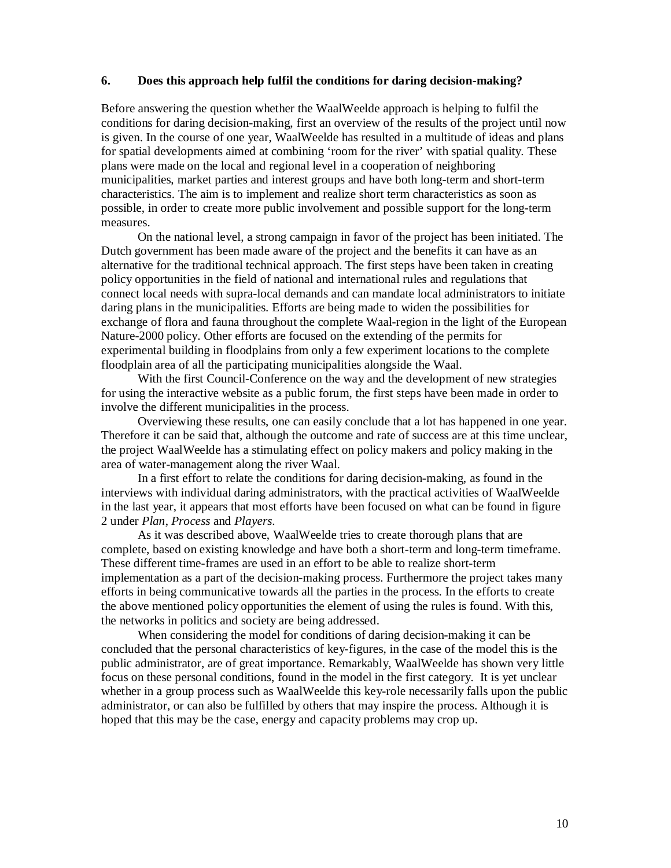### **6. Does this approach help fulfil the conditions for daring decision-making?**

Before answering the question whether the WaalWeelde approach is helping to fulfil the conditions for daring decision-making, first an overview of the results of the project until now is given. In the course of one year, WaalWeelde has resulted in a multitude of ideas and plans for spatial developments aimed at combining 'room for the river' with spatial quality. These plans were made on the local and regional level in a cooperation of neighboring municipalities, market parties and interest groups and have both long-term and short-term characteristics. The aim is to implement and realize short term characteristics as soon as possible, in order to create more public involvement and possible support for the long-term measures.

On the national level, a strong campaign in favor of the project has been initiated. The Dutch government has been made aware of the project and the benefits it can have as an alternative for the traditional technical approach. The first steps have been taken in creating policy opportunities in the field of national and international rules and regulations that connect local needs with supra-local demands and can mandate local administrators to initiate daring plans in the municipalities. Efforts are being made to widen the possibilities for exchange of flora and fauna throughout the complete Waal-region in the light of the European Nature-2000 policy. Other efforts are focused on the extending of the permits for experimental building in floodplains from only a few experiment locations to the complete floodplain area of all the participating municipalities alongside the Waal.

With the first Council-Conference on the way and the development of new strategies for using the interactive website as a public forum, the first steps have been made in order to involve the different municipalities in the process.

Overviewing these results, one can easily conclude that a lot has happened in one year. Therefore it can be said that, although the outcome and rate of success are at this time unclear, the project WaalWeelde has a stimulating effect on policy makers and policy making in the area of water-management along the river Waal.

In a first effort to relate the conditions for daring decision-making, as found in the interviews with individual daring administrators, with the practical activities of WaalWeelde in the last year, it appears that most efforts have been focused on what can be found in figure 2 under *Plan*, *Process* and *Players*.

As it was described above, WaalWeelde tries to create thorough plans that are complete, based on existing knowledge and have both a short-term and long-term timeframe. These different time-frames are used in an effort to be able to realize short-term implementation as a part of the decision-making process. Furthermore the project takes many efforts in being communicative towards all the parties in the process. In the efforts to create the above mentioned policy opportunities the element of using the rules is found. With this, the networks in politics and society are being addressed.

When considering the model for conditions of daring decision-making it can be concluded that the personal characteristics of key-figures, in the case of the model this is the public administrator, are of great importance. Remarkably, WaalWeelde has shown very little focus on these personal conditions, found in the model in the first category. It is yet unclear whether in a group process such as WaalWeelde this key-role necessarily falls upon the public administrator, or can also be fulfilled by others that may inspire the process. Although it is hoped that this may be the case, energy and capacity problems may crop up.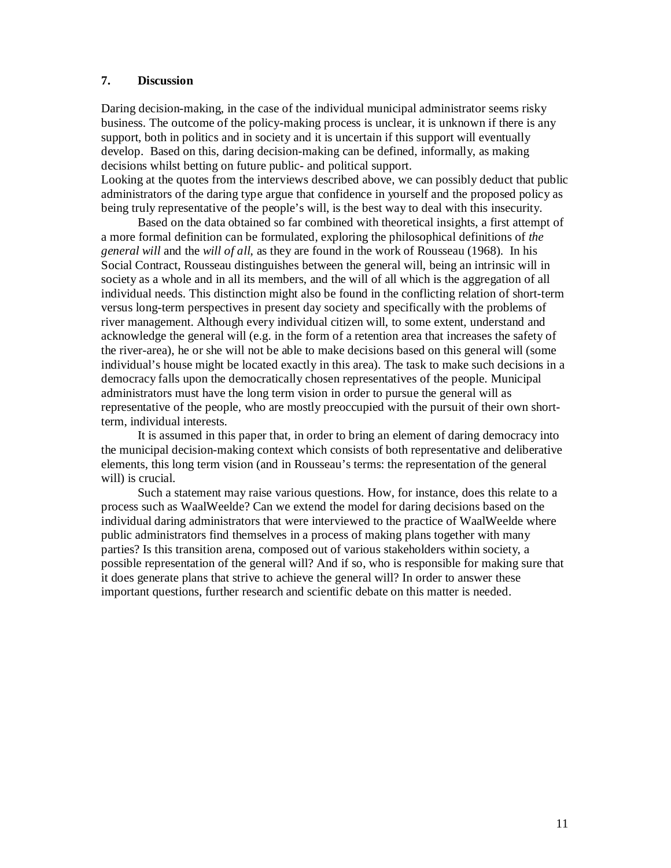# **7. Discussion**

Daring decision-making, in the case of the individual municipal administrator seems risky business. The outcome of the policy-making process is unclear, it is unknown if there is any support, both in politics and in society and it is uncertain if this support will eventually develop. Based on this, daring decision-making can be defined, informally, as making decisions whilst betting on future public- and political support.

Looking at the quotes from the interviews described above, we can possibly deduct that public administrators of the daring type argue that confidence in yourself and the proposed policy as being truly representative of the people's will, is the best way to deal with this insecurity.

Based on the data obtained so far combined with theoretical insights, a first attempt of a more formal definition can be formulated, exploring the philosophical definitions of *the general will* and the *will of all*, as they are found in the work of Rousseau (1968). In his Social Contract, Rousseau distinguishes between the general will, being an intrinsic will in society as a whole and in all its members, and the will of all which is the aggregation of all individual needs. This distinction might also be found in the conflicting relation of short-term versus long-term perspectives in present day society and specifically with the problems of river management. Although every individual citizen will, to some extent, understand and acknowledge the general will (e.g. in the form of a retention area that increases the safety of the river-area), he or she will not be able to make decisions based on this general will (some individual's house might be located exactly in this area). The task to make such decisions in a democracy falls upon the democratically chosen representatives of the people. Municipal administrators must have the long term vision in order to pursue the general will as representative of the people, who are mostly preoccupied with the pursuit of their own shortterm, individual interests.

It is assumed in this paper that, in order to bring an element of daring democracy into the municipal decision-making context which consists of both representative and deliberative elements, this long term vision (and in Rousseau's terms: the representation of the general will) is crucial.

Such a statement may raise various questions. How, for instance, does this relate to a process such as WaalWeelde? Can we extend the model for daring decisions based on the individual daring administrators that were interviewed to the practice of WaalWeelde where public administrators find themselves in a process of making plans together with many parties? Is this transition arena, composed out of various stakeholders within society, a possible representation of the general will? And if so, who is responsible for making sure that it does generate plans that strive to achieve the general will? In order to answer these important questions, further research and scientific debate on this matter is needed.